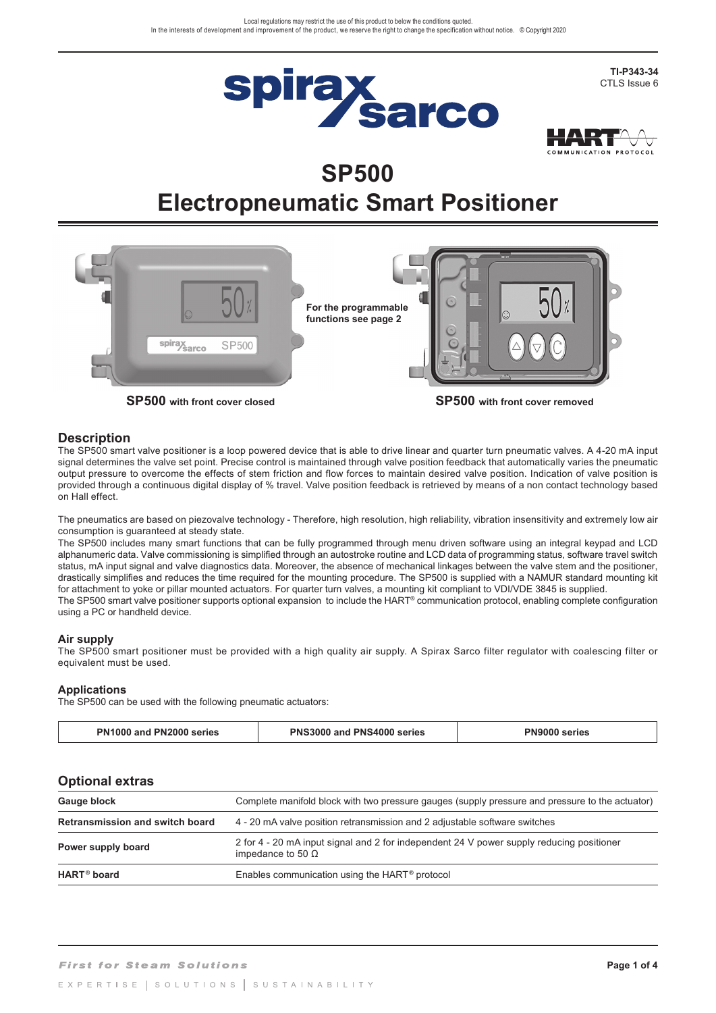



# **SP500 Electropneumatic Smart Positioner**



# **Description**

The SP500 smart valve positioner is a loop powered device that is able to drive linear and quarter turn pneumatic valves. A 4-20 mA input signal determines the valve set point. Precise control is maintained through valve position feedback that automatically varies the pneumatic output pressure to overcome the effects of stem friction and flow forces to maintain desired valve position. Indication of valve position is provided through a continuous digital display of % travel. Valve position feedback is retrieved by means of a non contact technology based on Hall effect.

The pneumatics are based on piezovalve technology - Therefore, high resolution, high reliability, vibration insensitivity and extremely low air consumption is guaranteed at steady state.

The SP500 includes many smart functions that can be fully programmed through menu driven software using an integral keypad and LCD alphanumeric data. Valve commissioning is simplified through an autostroke routine and LCD data of programming status, software travel switch status, mA input signal and valve diagnostics data. Moreover, the absence of mechanical linkages between the valve stem and the positioner, drastically simplifies and reduces the time required for the mounting procedure. The SP500 is supplied with a NAMUR standard mounting kit for attachment to yoke or pillar mounted actuators. For quarter turn valves, a mounting kit compliant to VDI/VDE 3845 is supplied. The SP500 smart valve positioner supports optional expansion to include the HART® communication protocol, enabling complete configuration using a PC or handheld device.

#### **Air supply**

The SP500 smart positioner must be provided with a high quality air supply. A Spirax Sarco filter regulator with coalescing filter or equivalent must be used.

## **Applications**

The SP500 can be used with the following pneumatic actuators:

| PN2000 series<br><b>PN1000 and</b> | 1 and PNS4000 series<br><b>PNS3000</b> | <b>PN9000 series</b> |
|------------------------------------|----------------------------------------|----------------------|
|------------------------------------|----------------------------------------|----------------------|

## **Optional extras**

| Gauge block                            | Complete manifold block with two pressure gauges (supply pressure and pressure to the actuator)                      |  |
|----------------------------------------|----------------------------------------------------------------------------------------------------------------------|--|
| <b>Retransmission and switch board</b> | 4 - 20 mA valve position retransmission and 2 adjustable software switches                                           |  |
| Power supply board                     | 2 for 4 - 20 mA input signal and 2 for independent 24 V power supply reducing positioner<br>impedance to 50 $\Omega$ |  |
| HART <sup>®</sup> board                | Enables communication using the HART <sup>®</sup> protocol                                                           |  |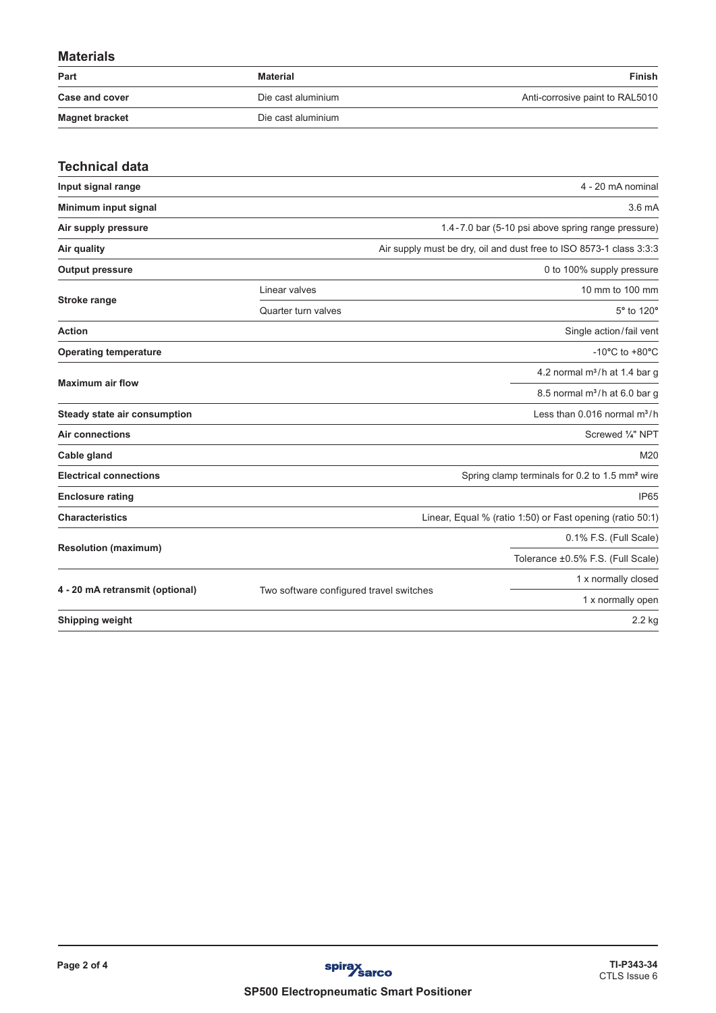# **Materials**

| Part                  | Material           | <b>Finish</b>                   |
|-----------------------|--------------------|---------------------------------|
| <b>Case and cover</b> | Die cast aluminium | Anti-corrosive paint to RAL5010 |
| <b>Magnet bracket</b> | Die cast aluminium |                                 |

| <b>Technical data</b>           |                                         |                                                                     |
|---------------------------------|-----------------------------------------|---------------------------------------------------------------------|
| Input signal range              |                                         | 4 - 20 mA nominal                                                   |
| Minimum input signal            |                                         | 3.6 <sub>m</sub> A                                                  |
| Air supply pressure             |                                         | 1.4-7.0 bar (5-10 psi above spring range pressure)                  |
| Air quality                     |                                         | Air supply must be dry, oil and dust free to ISO 8573-1 class 3:3:3 |
| <b>Output pressure</b>          |                                         | 0 to 100% supply pressure                                           |
|                                 | 10 mm to 100 mm<br>Linear valves        |                                                                     |
| <b>Stroke range</b>             | Quarter turn valves                     | 5° to 120°                                                          |
| <b>Action</b>                   |                                         | Single action/fail vent                                             |
| <b>Operating temperature</b>    |                                         | -10 $^{\circ}$ C to +80 $^{\circ}$ C                                |
|                                 |                                         | 4.2 normal $m^3/h$ at 1.4 bar g                                     |
| <b>Maximum air flow</b>         |                                         | 8.5 normal $m^3/h$ at 6.0 bar g                                     |
| Steady state air consumption    |                                         | Less than $0.016$ normal $m^3/h$                                    |
| <b>Air connections</b>          |                                         | Screwed 1/4" NPT                                                    |
| Cable gland                     |                                         | M20                                                                 |
| <b>Electrical connections</b>   |                                         | Spring clamp terminals for 0.2 to 1.5 mm <sup>2</sup> wire          |
| <b>Enclosure rating</b>         |                                         | IP <sub>65</sub>                                                    |
| <b>Characteristics</b>          |                                         | Linear, Equal % (ratio 1:50) or Fast opening (ratio 50:1)           |
|                                 |                                         | 0.1% F.S. (Full Scale)                                              |
| <b>Resolution (maximum)</b>     |                                         | Tolerance ±0.5% F.S. (Full Scale)                                   |
|                                 | 1 x normally closed                     |                                                                     |
| 4 - 20 mA retransmit (optional) | Two software configured travel switches | 1 x normally open                                                   |
| <b>Shipping weight</b>          |                                         | 2.2 kg                                                              |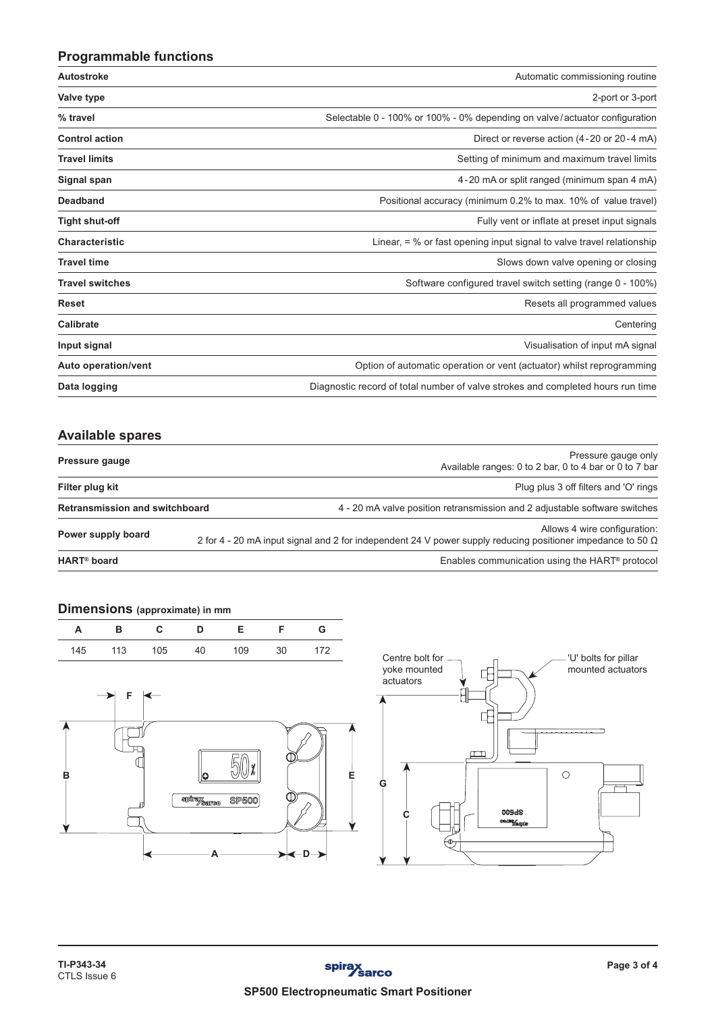# **Programmable functions**

| Autostroke             | Automatic commissioning routine                                                 |  |  |
|------------------------|---------------------------------------------------------------------------------|--|--|
| Valve type             | 2-port or 3-port                                                                |  |  |
| % travel               | Selectable 0 - 100% or 100% - 0% depending on valve/actuator configuration      |  |  |
| <b>Control action</b>  | Direct or reverse action (4-20 or 20-4 mA)                                      |  |  |
| <b>Travel limits</b>   | Setting of minimum and maximum travel limits                                    |  |  |
| Signal span            | 4-20 mA or split ranged (minimum span 4 mA)                                     |  |  |
| <b>Deadband</b>        | Positional accuracy (minimum 0.2% to max. 10% of value travel)                  |  |  |
| Tight shut-off         | Fully vent or inflate at preset input signals                                   |  |  |
| <b>Characteristic</b>  | Linear, $=$ % or fast opening input signal to valve travel relationship         |  |  |
| <b>Travel time</b>     | Slows down valve opening or closing                                             |  |  |
| <b>Travel switches</b> | Software configured travel switch setting (range 0 - 100%)                      |  |  |
| <b>Reset</b>           | Resets all programmed values                                                    |  |  |
| <b>Calibrate</b>       | Centering                                                                       |  |  |
| Input signal           | Visualisation of input mA signal                                                |  |  |
| Auto operation/vent    | Option of automatic operation or vent (actuator) whilst reprogramming           |  |  |
| Data logging           | Diagnostic record of total number of valve strokes and completed hours run time |  |  |

# **Available spares**

| Pressure gauge                        | Pressure gauge only<br>Available ranges: 0 to 2 bar, 0 to 4 bar or 0 to 7 bar                                                                     |
|---------------------------------------|---------------------------------------------------------------------------------------------------------------------------------------------------|
| Filter plug kit                       | Plug plus 3 off filters and 'O' rings                                                                                                             |
| <b>Retransmission and switchboard</b> | 4 - 20 mA valve position retransmission and 2 adjustable software switches                                                                        |
| Power supply board                    | Allows 4 wire configuration:<br>2 for 4 - 20 mA input signal and 2 for independent 24 V power supply reducing positioner impedance to 50 $\Omega$ |
| <b>HART<sup>®</sup></b> board         | Enables communication using the HART <sup>®</sup> protocol                                                                                        |

# **Dimensions (approximate) in mm**

|  |  | A B C D E F G             |  |
|--|--|---------------------------|--|
|  |  | 145 113 105 40 109 30 172 |  |